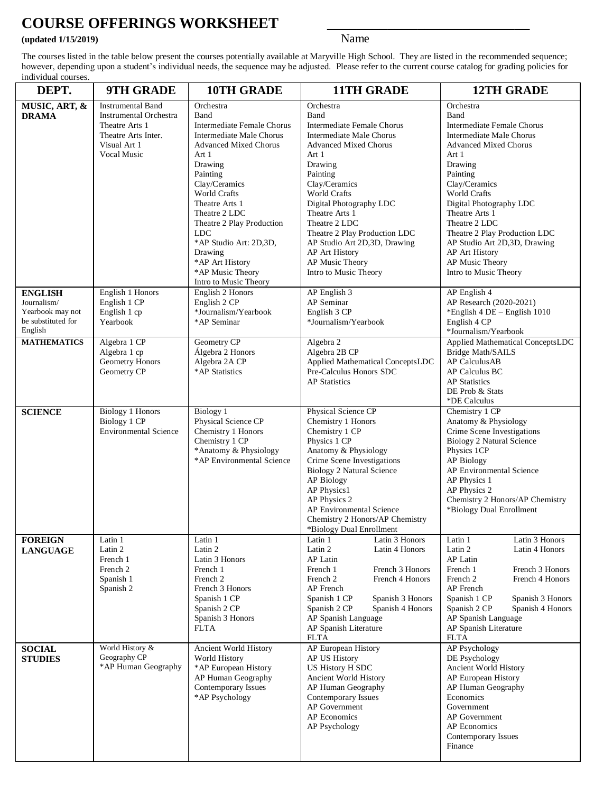## **COURSE OFFERINGS WORKSHEET \_\_\_\_\_\_\_\_\_\_\_\_\_\_\_\_\_\_\_\_\_\_\_\_\_\_\_**

## **(updated 1/15/2019)** Name

The courses listed in the table below present the courses potentially available at Maryville High School. They are listed in the recommended sequence; however, depending upon a student's individual needs, the sequence may be adjusted. Please refer to the current course catalog for grading policies for individual courses.

| DEPT.                                                                              | 9TH GRADE                                                                                                                         | <b>10TH GRADE</b>                                                                                                                                                                                                                                                                                                                                                      | <b>11TH GRADE</b>                                                                                                                                                                                                                                                                                                                                                         | <b>12TH GRADE</b>                                                                                                                                                                                                                                                                                                                                                                |
|------------------------------------------------------------------------------------|-----------------------------------------------------------------------------------------------------------------------------------|------------------------------------------------------------------------------------------------------------------------------------------------------------------------------------------------------------------------------------------------------------------------------------------------------------------------------------------------------------------------|---------------------------------------------------------------------------------------------------------------------------------------------------------------------------------------------------------------------------------------------------------------------------------------------------------------------------------------------------------------------------|----------------------------------------------------------------------------------------------------------------------------------------------------------------------------------------------------------------------------------------------------------------------------------------------------------------------------------------------------------------------------------|
| MUSIC, ART, &<br><b>DRAMA</b>                                                      | <b>Instrumental Band</b><br><b>Instrumental Orchestra</b><br>Theatre Arts 1<br>Theatre Arts Inter.<br>Visual Art 1<br>Vocal Music | Orchestra<br>Band<br>Intermediate Female Chorus<br>Intermediate Male Chorus<br><b>Advanced Mixed Chorus</b><br>Art 1<br>Drawing<br>Painting<br>Clay/Ceramics<br><b>World Crafts</b><br>Theatre Arts 1<br>Theatre 2 LDC<br>Theatre 2 Play Production<br><b>LDC</b><br>*AP Studio Art: 2D,3D,<br>Drawing<br>*AP Art History<br>*AP Music Theory<br>Intro to Music Theory | Orchestra<br>Band<br>Intermediate Female Chorus<br>Intermediate Male Chorus<br><b>Advanced Mixed Chorus</b><br>Art 1<br>Drawing<br>Painting<br>Clay/Ceramics<br>World Crafts<br>Digital Photography LDC<br>Theatre Arts 1<br>Theatre 2 LDC<br>Theatre 2 Play Production LDC<br>AP Studio Art 2D,3D, Drawing<br>AP Art History<br>AP Music Theory<br>Intro to Music Theory | Orchestra<br>Band<br>Intermediate Female Chorus<br>Intermediate Male Chorus<br><b>Advanced Mixed Chorus</b><br>Art 1<br>Drawing<br>Painting<br>Clay/Ceramics<br><b>World Crafts</b><br>Digital Photography LDC<br>Theatre Arts 1<br>Theatre 2 LDC<br>Theatre 2 Play Production LDC<br>AP Studio Art 2D,3D, Drawing<br>AP Art History<br>AP Music Theory<br>Intro to Music Theory |
| <b>ENGLISH</b><br>Journalism/<br>Yearbook may not<br>be substituted for<br>English | English 1 Honors<br>English 1 CP<br>English 1 cp<br>Yearbook                                                                      | English 2 Honors<br>English 2 CP<br>*Journalism/Yearbook<br>*AP Seminar                                                                                                                                                                                                                                                                                                | AP English 3<br>AP Seminar<br>English 3 CP<br>*Journalism/Yearbook                                                                                                                                                                                                                                                                                                        | AP English 4<br>AP Research (2020-2021)<br>*English $4$ DE - English $1010$<br>English 4 CP<br>*Journalism/Yearbook                                                                                                                                                                                                                                                              |
| <b>MATHEMATICS</b>                                                                 | Algebra 1 CP<br>Algebra 1 cp<br>Geometry Honors<br>Geometry CP                                                                    | Geometry CP<br>Álgebra 2 Honors<br>Algebra 2A CP<br>*AP Statistics                                                                                                                                                                                                                                                                                                     | Algebra 2<br>Algebra 2B CP<br>Applied Mathematical ConceptsLDC<br>Pre-Calculus Honors SDC<br><b>AP</b> Statistics                                                                                                                                                                                                                                                         | Applied Mathematical ConceptsLDC<br><b>Bridge Math/SAILS</b><br>AP CalculusAB<br>AP Calculus BC<br><b>AP</b> Statistics<br>DE Prob & Stats<br>*DE Calculus                                                                                                                                                                                                                       |
| <b>SCIENCE</b>                                                                     | <b>Biology 1 Honors</b><br><b>Biology 1 CP</b><br><b>Environmental Science</b>                                                    | Biology 1<br>Physical Science CP<br>Chemistry 1 Honors<br>Chemistry 1 CP<br>*Anatomy & Physiology<br>*AP Environmental Science                                                                                                                                                                                                                                         | Physical Science CP<br>Chemistry 1 Honors<br>Chemistry 1 CP<br>Physics 1 CP<br>Anatomy & Physiology<br>Crime Scene Investigations<br><b>Biology 2 Natural Science</b><br>AP Biology<br>AP Physics1<br>AP Physics 2<br>AP Environmental Science<br>Chemistry 2 Honors/AP Chemistry<br>*Biology Dual Enrollment                                                             | Chemistry 1 CP<br>Anatomy & Physiology<br>Crime Scene Investigations<br>Biology 2 Natural Science<br>Physics 1CP<br>AP Biology<br>AP Environmental Science<br>AP Physics 1<br>AP Physics 2<br>Chemistry 2 Honors/AP Chemistry<br>*Biology Dual Enrollment                                                                                                                        |
| <b>FOREIGN</b><br><b>LANGUAGE</b>                                                  | Latin 1<br>Latin 2<br>French 1<br>French 2<br>Spanish 1<br>Spanish 2                                                              | Latin 1<br>Latin 2<br>Latin 3 Honors<br>French 1<br>French 2<br>French 3 Honors<br>Spanish 1 CP<br>Spanish 2 CP<br>Spanish 3 Honors<br>FLTA                                                                                                                                                                                                                            | Latin 3 Honors<br>Latin 1<br>Latin 2<br>Latin 4 Honors<br>AP Latin<br>French 1<br>French 3 Honors<br>French 2<br>French 4 Honors<br>AP French<br>Spanish 1 CP<br>Spanish 3 Honors<br>Spanish 2 CP<br>Spanish 4 Honors<br>AP Spanish Language<br>AP Spanish Literature<br><b>FLTA</b>                                                                                      | Latin 3 Honors<br>Latin 1<br>Latin 2<br>Latin 4 Honors<br>AP Latin<br>French 1<br>French 3 Honors<br>French 2<br>French 4 Honors<br>AP French<br>Spanish 1 CP<br>Spanish 3 Honors<br>Spanish 2 CP<br>Spanish 4 Honors<br>AP Spanish Language<br>AP Spanish Literature<br><b>FLTA</b>                                                                                             |
| <b>SOCIAL</b><br><b>STUDIES</b>                                                    | World History &<br>Geography CP<br>*AP Human Geography                                                                            | Ancient World History<br>World History<br>*AP European History<br>AP Human Geography<br>Contemporary Issues<br>*AP Psychology                                                                                                                                                                                                                                          | AP European History<br>AP US History<br>US History H SDC<br>Ancient World History<br>AP Human Geography<br>Contemporary Issues<br>AP Government<br>AP Economics<br>AP Psychology                                                                                                                                                                                          | AP Psychology<br>DE Psychology<br>Ancient World History<br>AP European History<br>AP Human Geography<br>Economics<br>Government<br>AP Government<br>AP Economics<br>Contemporary Issues<br>Finance                                                                                                                                                                               |